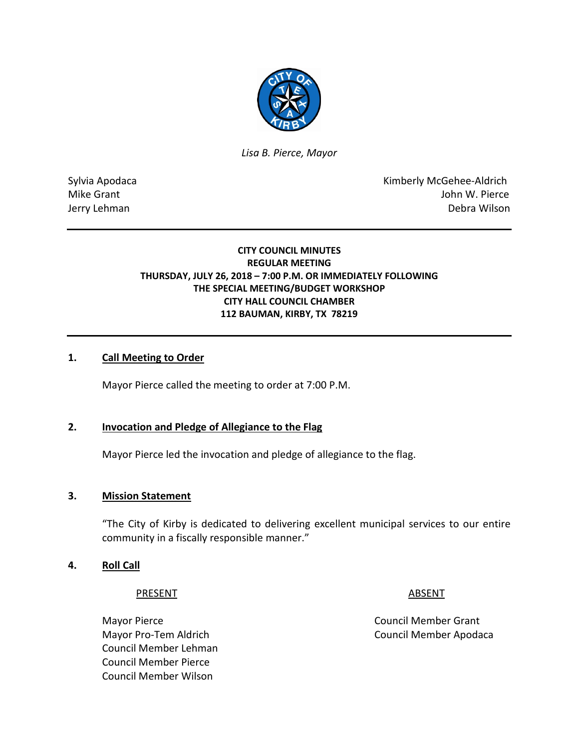

*Lisa B. Pierce, Mayor* 

Sylvia Apodaca National According Control of American Control of Kimberly McGehee-Aldrich Mike Grant John W. Pierce Jerry Lehman Debra Wilson

# **CITY COUNCIL MINUTES REGULAR MEETING THURSDAY, JULY 26, 2018 – 7:00 P.M. OR IMMEDIATELY FOLLOWING THE SPECIAL MEETING/BUDGET WORKSHOP CITY HALL COUNCIL CHAMBER 112 BAUMAN, KIRBY, TX 78219**

# **1. Call Meeting to Order**

Mayor Pierce called the meeting to order at 7:00 P.M.

# **2. Invocation and Pledge of Allegiance to the Flag**

Mayor Pierce led the invocation and pledge of allegiance to the flag.

#### **3. Mission Statement**

"The City of Kirby is dedicated to delivering excellent municipal services to our entire community in a fiscally responsible manner."

#### **4. Roll Call**

#### PRESENT ABSENT

Mayor Pierce **Council Member Grant** Council Member Lehman Council Member Pierce Council Member Wilson

Mayor Pro-Tem Aldrich Council Member Apodaca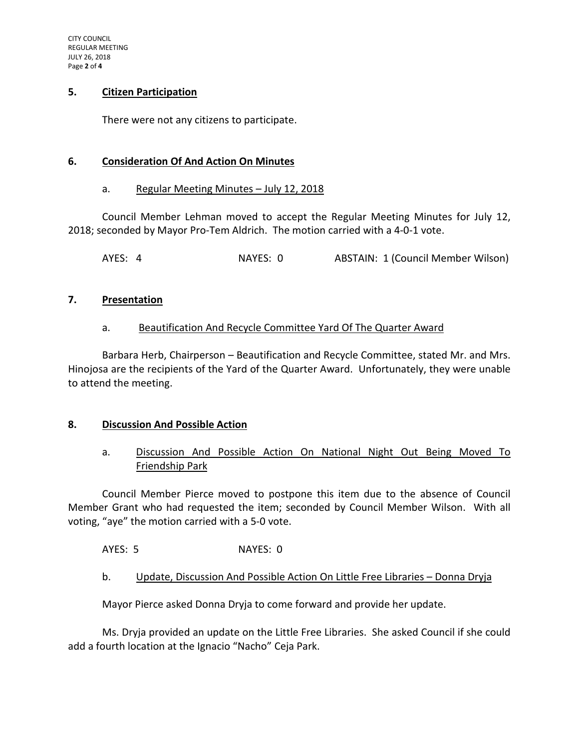## **5. Citizen Participation**

There were not any citizens to participate.

## **6. Consideration Of And Action On Minutes**

#### a. Regular Meeting Minutes – July 12, 2018

Council Member Lehman moved to accept the Regular Meeting Minutes for July 12, 2018; seconded by Mayor Pro-Tem Aldrich. The motion carried with a 4-0-1 vote.

AYES: 4 NAYES: 0 ABSTAIN: 1 (Council Member Wilson)

#### **7. Presentation**

# a. Beautification And Recycle Committee Yard Of The Quarter Award

Barbara Herb, Chairperson – Beautification and Recycle Committee, stated Mr. and Mrs. Hinojosa are the recipients of the Yard of the Quarter Award. Unfortunately, they were unable to attend the meeting.

# **8. Discussion And Possible Action**

# a. Discussion And Possible Action On National Night Out Being Moved To Friendship Park

Council Member Pierce moved to postpone this item due to the absence of Council Member Grant who had requested the item; seconded by Council Member Wilson. With all voting, "aye" the motion carried with a 5-0 vote.

AYES: 5 NAYES: 0

# b. Update, Discussion And Possible Action On Little Free Libraries - Donna Dryja

Mayor Pierce asked Donna Dryja to come forward and provide her update.

Ms. Dryja provided an update on the Little Free Libraries. She asked Council if she could add a fourth location at the Ignacio "Nacho" Ceja Park.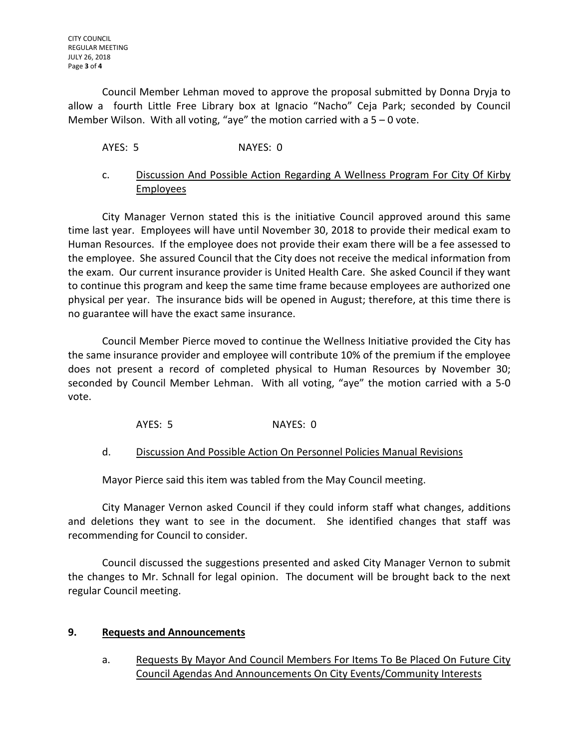Council Member Lehman moved to approve the proposal submitted by Donna Dryja to allow a fourth Little Free Library box at Ignacio "Nacho" Ceja Park; seconded by Council Member Wilson. With all voting, "aye" the motion carried with a  $5 - 0$  vote.

AYES: 5 NAYES: 0

# c. Discussion And Possible Action Regarding A Wellness Program For City Of Kirby Employees

City Manager Vernon stated this is the initiative Council approved around this same time last year. Employees will have until November 30, 2018 to provide their medical exam to Human Resources. If the employee does not provide their exam there will be a fee assessed to the employee. She assured Council that the City does not receive the medical information from the exam. Our current insurance provider is United Health Care. She asked Council if they want to continue this program and keep the same time frame because employees are authorized one physical per year. The insurance bids will be opened in August; therefore, at this time there is no guarantee will have the exact same insurance.

Council Member Pierce moved to continue the Wellness Initiative provided the City has the same insurance provider and employee will contribute 10% of the premium if the employee does not present a record of completed physical to Human Resources by November 30; seconded by Council Member Lehman. With all voting, "aye" the motion carried with a 5-0 vote.

AYES: 5 NAYES: 0

# d. Discussion And Possible Action On Personnel Policies Manual Revisions

Mayor Pierce said this item was tabled from the May Council meeting.

City Manager Vernon asked Council if they could inform staff what changes, additions and deletions they want to see in the document. She identified changes that staff was recommending for Council to consider.

Council discussed the suggestions presented and asked City Manager Vernon to submit the changes to Mr. Schnall for legal opinion. The document will be brought back to the next regular Council meeting.

# **9. Requests and Announcements**

a. Requests By Mayor And Council Members For Items To Be Placed On Future City Council Agendas And Announcements On City Events/Community Interests